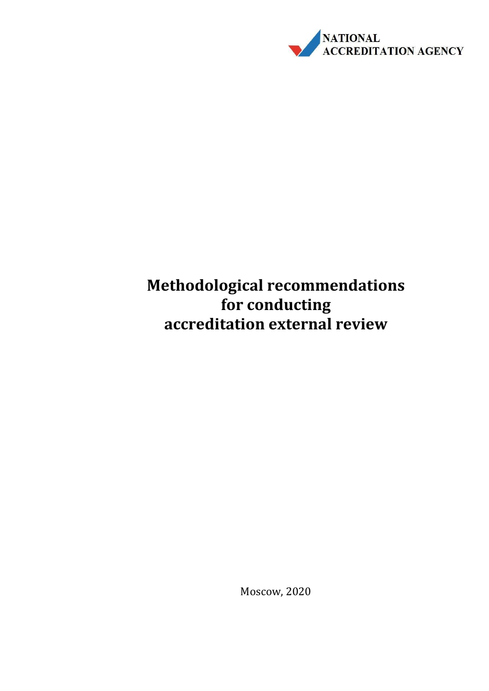

# **Methodological recommendations for conducting accreditation external review**

Moscow, 2020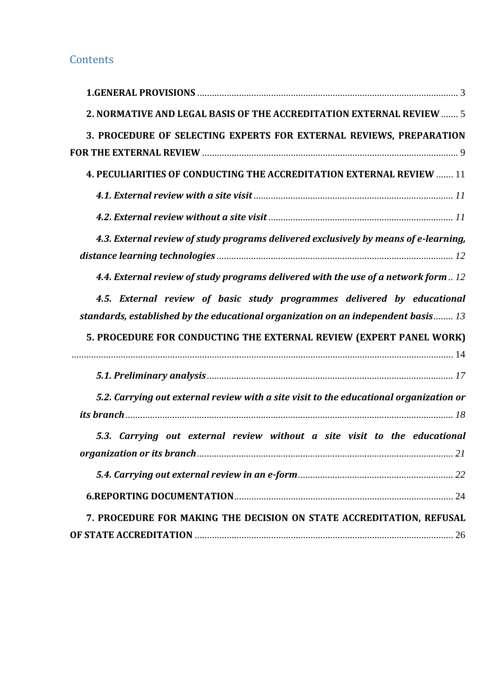### **Contents**

| 2. NORMATIVE AND LEGAL BASIS OF THE ACCREDITATION EXTERNAL REVIEW  5                                                                                         |  |  |
|--------------------------------------------------------------------------------------------------------------------------------------------------------------|--|--|
| 3. PROCEDURE OF SELECTING EXPERTS FOR EXTERNAL REVIEWS, PREPARATION                                                                                          |  |  |
|                                                                                                                                                              |  |  |
| 4. PECULIARITIES OF CONDUCTING THE ACCREDITATION EXTERNAL REVIEW  11                                                                                         |  |  |
|                                                                                                                                                              |  |  |
|                                                                                                                                                              |  |  |
| 4.3. External review of study programs delivered exclusively by means of e-learning,                                                                         |  |  |
|                                                                                                                                                              |  |  |
| 4.4. External review of study programs delivered with the use of a network form 12                                                                           |  |  |
| 4.5. External review of basic study programmes delivered by educational<br>standards, established by the educational organization on an independent basis 13 |  |  |
| 5. PROCEDURE FOR CONDUCTING THE EXTERNAL REVIEW (EXPERT PANEL WORK)                                                                                          |  |  |
|                                                                                                                                                              |  |  |
| 5.2. Carrying out external review with a site visit to the educational organization or                                                                       |  |  |
|                                                                                                                                                              |  |  |
| 5.3. Carrying out external review without a site visit to the educational                                                                                    |  |  |
|                                                                                                                                                              |  |  |
|                                                                                                                                                              |  |  |
|                                                                                                                                                              |  |  |
| 7. PROCEDURE FOR MAKING THE DECISION ON STATE ACCREDITATION, REFUSAL                                                                                         |  |  |
|                                                                                                                                                              |  |  |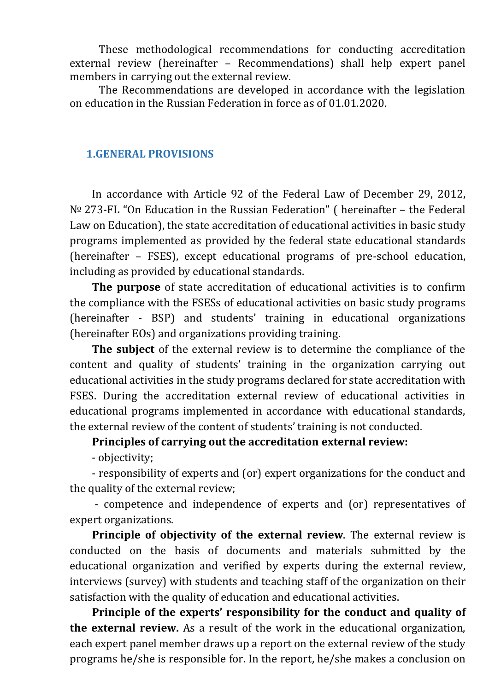These methodological recommendations for conducting accreditation external review (hereinafter – Recommendations) shall help expert panel members in carrying out the external review.

The Recommendations are developed in accordance with the legislation on education in the Russian Federation in force as of 01.01.2020.

### <span id="page-2-0"></span>**1.GENERAL PROVISIONS**

In accordance with Article 92 of the Federal Law of December 29, 2012, № 273-FL "On Education in the Russian Federation" ( hereinafter – the Federal Law on Education), the state accreditation of educational activities in basic study programs implemented as provided by the federal state educational standards (hereinafter – FSES), except educational programs of pre-school education, including as provided by educational standards.

**The purpose** of state accreditation of educational activities is to confirm the compliance with the FSESs of educational activities on basic study programs (hereinafter - BSP) and students' training in educational organizations (hereinafter EOs) and organizations providing training.

**The subject** of the external review is to determine the compliance of the content and quality of students' training in the organization carrying out educational activities in the study programs declared for state accreditation with FSES. During the accreditation external review of educational activities in educational programs implemented in accordance with educational standards, the external review of the content of students' training is not conducted.

### **Principles of carrying out the accreditation external review:**

- objectivity;

- responsibility of experts and (or) expert organizations for the conduct and the quality of the external review;

- competence and independence of experts and (or) representatives of expert organizations.

**Principle of objectivity of the external review**. The external review is conducted on the basis of documents and materials submitted by the educational organization and verified by experts during the external review, interviews (survey) with students and teaching staff of the organization on their satisfaction with the quality of education and educational activities.

**Principle of the experts' responsibility for the conduct and quality of the external review.** As a result of the work in the educational organization, each expert panel member draws up a report on the external review of the study programs he/she is responsible for. In the report, he/she makes a conclusion on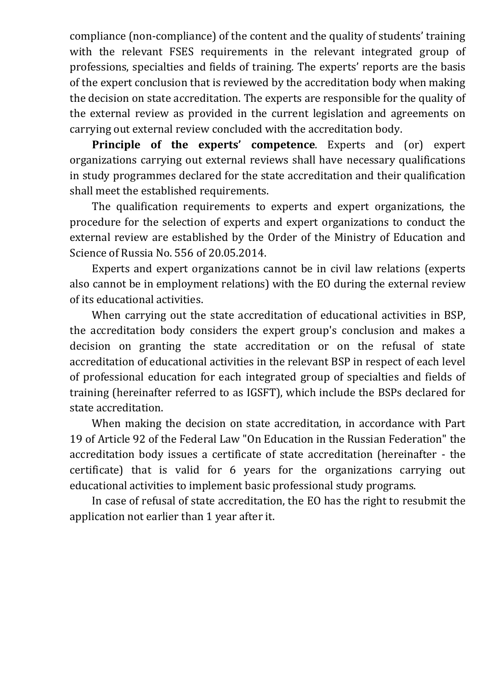compliance (non-compliance) of the content and the quality of students' training with the relevant FSES requirements in the relevant integrated group of professions, specialties and fields of training. The experts' reports are the basis of the expert conclusion that is reviewed by the accreditation body when making the decision on state accreditation. The experts are responsible for the quality of the external review as provided in the current legislation and agreements on carrying out external review concluded with the accreditation body.

**Principle of the experts' competence**. Experts and (or) expert organizations carrying out external reviews shall have necessary qualifications in study programmes declared for the state accreditation and their qualification shall meet the established requirements.

The qualification requirements to experts and expert organizations, the procedure for the selection of experts and expert organizations to conduct the external review are established by the Order of the Ministry of Education and Science of Russia No. 556 of 20.05.2014.

Experts and expert organizations cannot be in civil law relations (experts also cannot be in employment relations) with the EO during the external review of its educational activities.

When carrying out the state accreditation of educational activities in BSP, the accreditation body considers the expert group's conclusion and makes a decision on granting the state accreditation or on the refusal of state accreditation of educational activities in the relevant BSP in respect of each level of professional education for each integrated group of specialties and fields of training (hereinafter referred to as IGSFT), which include the BSPs declared for state accreditation.

When making the decision on state accreditation, in accordance with Part 19 of Article 92 of the Federal Law "On Education in the Russian Federation" the accreditation body issues a certificate of state accreditation (hereinafter - the certificate) that is valid for 6 years for the organizations carrying out educational activities to implement basic professional study programs.

In case of refusal of state accreditation, the EO has the right to resubmit the application not earlier than 1 year after it.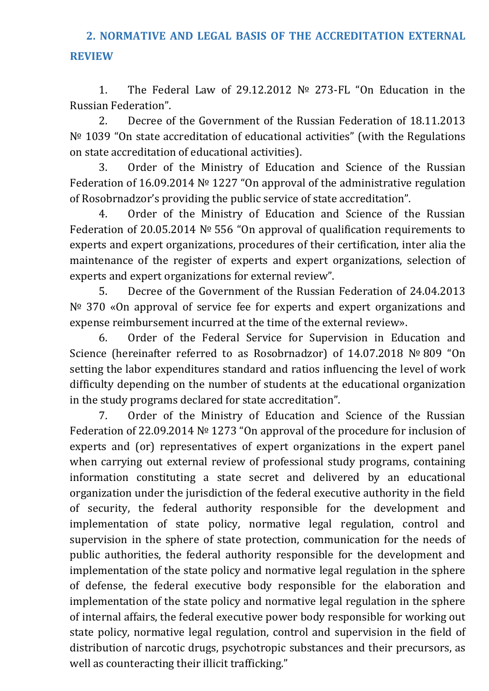# <span id="page-4-0"></span>**2. NORMATIVE AND LEGAL BASIS OF THE ACCREDITATION EXTERNAL REVIEW**

1. The Federal Law of 29.12.2012 № 273-FL "On Education in the Russian Federation".

2. Decree of the Government of the Russian Federation of 18.11.2013 N<sup>o</sup> 1039 "On state accreditation of educational activities" (with the Regulations on state accreditation of educational activities).

3. Order of the Ministry of Education and Science of the Russian Federation of 16.09.2014 № 1227 "On approval of the administrative regulation of Rosobrnadzor's providing the public service of state accreditation".

4. Order of the Ministry of Education and Science of the Russian Federation of 20.05.2014 № 556 "On approval of qualification requirements to experts and expert organizations, procedures of their certification, inter alia the maintenance of the register of experts and expert organizations, selection of experts and expert organizations for external review".

5. Decree of the Government of the Russian Federation of 24.04.2013 N<sup>o</sup> 370 «On approval of service fee for experts and expert organizations and expense reimbursement incurred at the time of the external review».

6. Order of the Federal Service for Supervision in Education and Science (hereinafter referred to as Rosobrnadzor) of 14.07.2018 № 809 "On setting the labor expenditures standard and ratios influencing the level of work difficulty depending on the number of students at the educational organization in the study programs declared for state accreditation".

7. Order of the Ministry of Education and Science of the Russian Federation of 22.09.2014 № 1273 "On approval of the procedure for inclusion of experts and (or) representatives of expert organizations in the expert panel when carrying out external review of professional study programs, containing information constituting a state secret and delivered by an educational organization under the jurisdiction of the federal executive authority in the field of security, the federal authority responsible for the development and implementation of state policy, normative legal regulation, control and supervision in the sphere of state protection, communication for the needs of public authorities, the federal authority responsible for the development and implementation of the state policy and normative legal regulation in the sphere of defense, the federal executive body responsible for the elaboration and implementation of the state policy and normative legal regulation in the sphere of internal affairs, the federal executive power body responsible for working out state policy, normative legal regulation, control and supervision in the field of distribution of narcotic drugs, psychotropic substances and their precursors, as well as counteracting their illicit trafficking."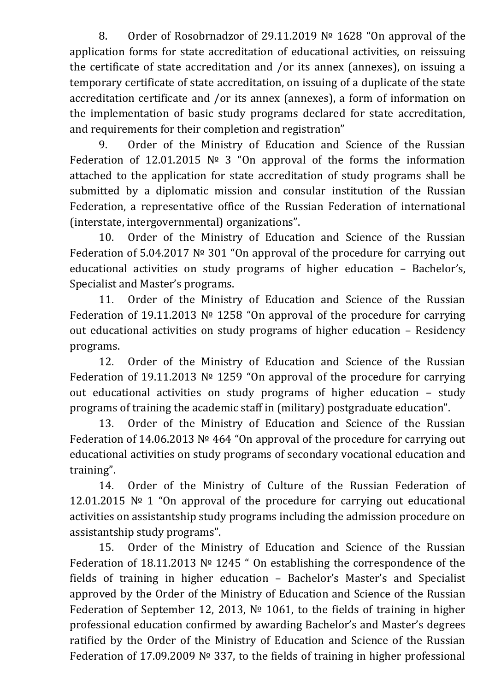8. Order of Rosobrnadzor of 29.11.2019 № 1628 "On approval of the application forms for state accreditation of educational activities, on reissuing the certificate of state accreditation and /or its annex (annexes), on issuing a temporary certificate of state accreditation, on issuing of a duplicate of the state accreditation certificate and /or its annex (annexes), a form of information on the implementation of basic study programs declared for state accreditation, and requirements for their completion and registration"

9. Order of the Ministry of Education and Science of the Russian Federation of 12.01.2015 № 3 "On approval of the forms the information attached to the application for state accreditation of study programs shall be submitted by a diplomatic mission and consular institution of the Russian Federation, a representative office of the Russian Federation of international (interstate, intergovernmental) organizations".

10. Order of the Ministry of Education and Science of the Russian Federation of 5.04.2017 № 301 "On approval of the procedure for carrying out educational activities on study programs of higher education – Bachelor's, Specialist and Master's programs.

11. Order of the Ministry of Education and Science of the Russian Federation of 19.11.2013 № 1258 "On approval of the procedure for carrying out educational activities on study programs of higher education – Residency programs.

12. Order of the Ministry of Education and Science of the Russian Federation of 19.11.2013 № 1259 "On approval of the procedure for carrying out educational activities on study programs of higher education – study programs of training the academic staff in (military) postgraduate education".

13. Order of the Ministry of Education and Science of the Russian Federation of 14.06.2013 № 464 "On approval of the procedure for carrying out educational activities on study programs of secondary vocational education and training".

14. Order of the Ministry of Culture of the Russian Federation of 12.01.2015 № 1 "On approval of the procedure for carrying out educational activities on assistantship study programs including the admission procedure on assistantship study programs".

15. Order of the Ministry of Education and Science of the Russian Federation of 18.11.2013 № 1245 " On establishing the correspondence of the fields of training in higher education – Bachelor's Master's and Specialist approved by the Order of the Ministry of Education and Science of the Russian Federation of September 12, 2013, № 1061, to the fields of training in higher professional education confirmed by awarding Bachelor's and Master's degrees ratified by the Order of the Ministry of Education and Science of the Russian Federation of 17.09.2009 № 337, to the fields of training in higher professional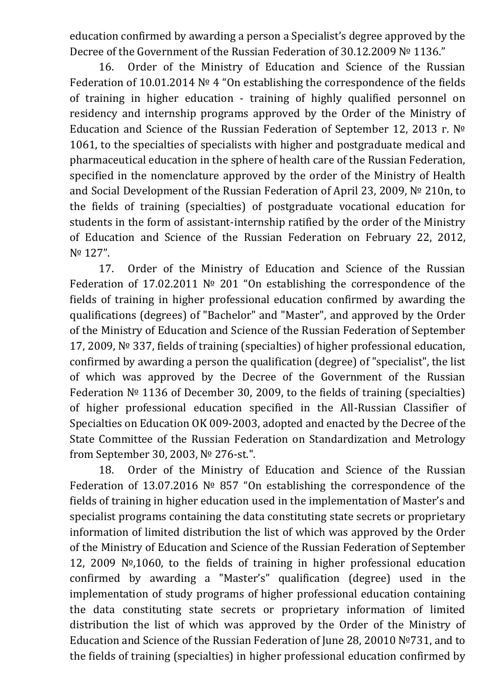education confirmed by awarding a person a Specialist's degree approved by the Decree of the Government of the Russian Federation of 30.12.2009 № 1136."

16. Order of the Ministry of Education and Science of the Russian Federation of 10.01.2014 № 4 "On establishing the correspondence of the fields of training in higher education - training of highly qualified personnel on residency and internship programs approved by the Order of the Ministry of Education and Science of the Russian Federation of September 12, 2013 г. № 1061, to the specialties of specialists with higher and postgraduate medical and pharmaceutical education in the sphere of health care of the Russian Federation, specified in the nomenclature approved by the order of the Ministry of Health and Social Development of the Russian Federation of April 23, 2009, № 210n, to the fields of training (specialties) of postgraduate vocational education for students in the form of assistant-internship ratified by the order of the Ministry of Education and Science of the Russian Federation on February 22, 2012, № 127".

17. Order of the Ministry of Education and Science of the Russian Federation of 17.02.2011 № 201 "On establishing the correspondence of the fields of training in higher professional education confirmed by awarding the qualifications (degrees) of "Bachelor" and "Master", and approved by the Order of the Ministry of Education and Science of the Russian Federation of September 17, 2009, № 337, fields of training (specialties) of higher professional education, confirmed by awarding a person the qualification (degree) of "specialist", the list of which was approved by the Decree of the Government of the Russian Federation № 1136 of December 30, 2009, to the fields of training (specialties) of higher professional education specified in the All-Russian Classifier of Specialties on Education OK 009-2003, adopted and enacted by the Decree of the State Committee of the Russian Federation on Standardization and Metrology from September 30, 2003, № 276-st.".

18. Order of the Ministry of Education and Science of the Russian Federation of 13.07.2016 № 857 "On establishing the correspondence of the fields of training in higher education used in the implementation of Master's and specialist programs containing the data constituting state secrets or proprietary information of limited distribution the list of which was approved by the Order of the Ministry of Education and Science of the Russian Federation of September 12, 2009 №,1060, to the fields of training in higher professional education confirmed by awarding a "Master's" qualification (degree) used in the implementation of study programs of higher professional education containing the data constituting state secrets or proprietary information of limited distribution the list of which was approved by the Order of the Ministry of Education and Science of the Russian Federation of June 28, 20010 №731, and to the fields of training (specialties) in higher professional education confirmed by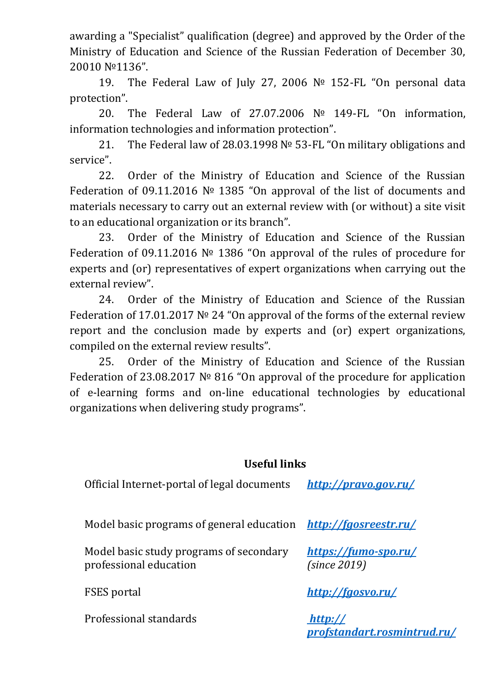awarding a "Specialist" qualification (degree) and approved by the Order of the Ministry of Education and Science of the Russian Federation of December 30, 20010 №1136".

19. The Federal Law of July 27, 2006 № 152-FL "On personal data protection".

20. The Federal Law of 27.07.2006 № 149-FL "On information, information technologies and information protection".

21. The Federal law of 28.03.1998 № 53-FL "On military obligations and service".

22. Order of the Ministry of Education and Science of the Russian Federation of 09.11.2016 № 1385 "On approval of the list of documents and materials necessary to carry out an external review with (or without) a site visit to an educational organization or its branch".

23. Order of the Ministry of Education and Science of the Russian Federation of 09.11.2016 № 1386 "On approval of the rules of procedure for experts and (or) representatives of expert organizations when carrying out the external review".

24. Order of the Ministry of Education and Science of the Russian Federation of 17.01.2017 № 24 "On approval of the forms of the external review report and the conclusion made by experts and (or) expert organizations, compiled on the external review results".

25. Order of the Ministry of Education and Science of the Russian Federation of 23.08.2017 № 816 "On approval of the procedure for application of e-learning forms and on-line educational technologies by educational organizations when delivering study programs".

### **Useful links**

| Official Internet-portal of legal documents                       | http://pravo.gov.ru/                   |
|-------------------------------------------------------------------|----------------------------------------|
| Model basic programs of general education http://fgosreestr.ru/   |                                        |
| Model basic study programs of secondary<br>professional education | https://fumo-spo.ru/<br>(since 2019)   |
| <b>FSES</b> portal                                                | http://fgosvo.ru/                      |
| Professional standards                                            | http://<br>profstandart.rosmintrud.ru/ |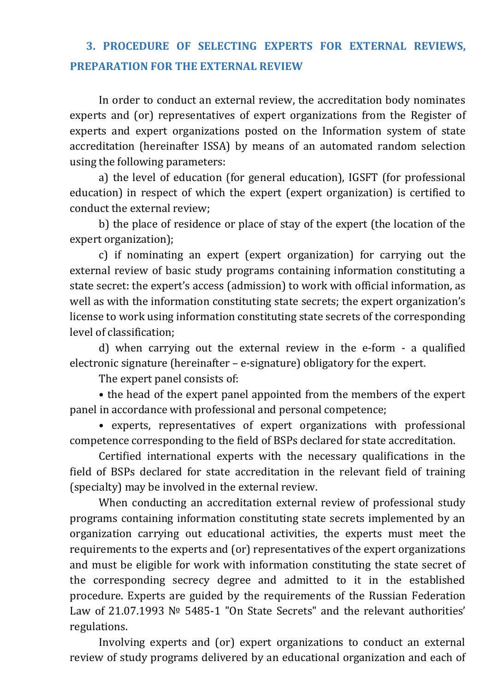# <span id="page-8-0"></span>**3. PROCEDURE OF SELECTING EXPERTS FOR EXTERNAL REVIEWS, PREPARATION FOR THE EXTERNAL REVIEW**

In order to conduct an external review, the accreditation body nominates experts and (or) representatives of expert organizations from the Register of experts and expert organizations posted on the Information system of state accreditation (hereinafter ISSA) by means of an automated random selection using the following parameters:

a) the level of education (for general education), IGSFT (for professional education) in respect of which the expert (expert organization) is certified to conduct the external review;

b) the place of residence or place of stay of the expert (the location of the expert organization);

c) if nominating an expert (expert organization) for carrying out the external review of basic study programs containing information constituting a state secret: the expert's access (admission) to work with official information, as well as with the information constituting state secrets; the expert organization's license to work using information constituting state secrets of the corresponding level of classification;

d) when carrying out the external review in the e-form - a qualified electronic signature (hereinafter – e-signature) obligatory for the expert.

The expert panel consists of:

• the head of the expert panel appointed from the members of the expert panel in accordance with professional and personal competence;

• experts, representatives of expert organizations with professional competence corresponding to the field of BSPs declared for state accreditation.

Certified international experts with the necessary qualifications in the field of BSPs declared for state accreditation in the relevant field of training (specialty) may be involved in the external review.

When conducting an accreditation external review of professional study programs containing information constituting state secrets implemented by an organization carrying out educational activities, the experts must meet the requirements to the experts and (or) representatives of the expert organizations and must be eligible for work with information constituting the state secret of the corresponding secrecy degree and admitted to it in the established procedure. Experts are guided by the requirements of the Russian Federation Law of 21.07.1993 № 5485-1 "On State Secrets" and the relevant authorities' regulations.

Involving experts and (or) expert organizations to conduct an external review of study programs delivered by an educational organization and each of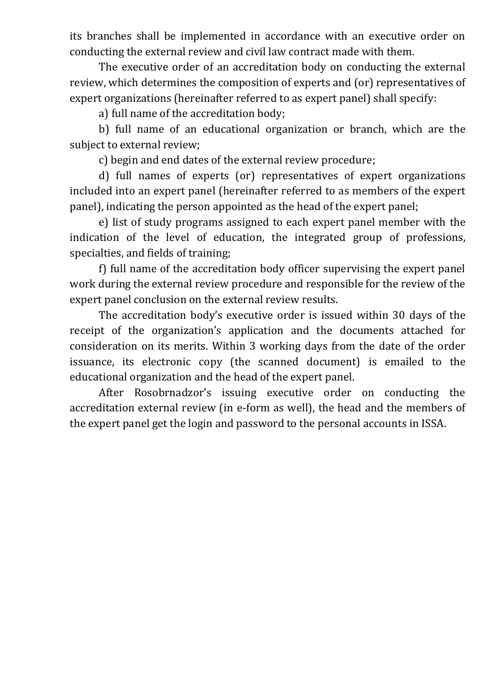its branches shall be implemented in accordance with an executive order on conducting the external review and civil law contract made with them.

The executive order of an accreditation body on conducting the external review, which determines the composition of experts and (or) representatives of expert organizations (hereinafter referred to as expert panel) shall specify:

a) full name of the accreditation body;

b) full name of an educational organization or branch, which are the subject to external review;

c) begin and end dates of the external review procedure;

d) full names of experts (or) representatives of expert organizations included into an expert panel (hereinafter referred to as members of the expert panel), indicating the person appointed as the head of the expert panel;

e) list of study programs assigned to each expert panel member with the indication of the level of education, the integrated group of professions, specialties, and fields of training;

f) full name of the accreditation body officer supervising the expert panel work during the external review procedure and responsible for the review of the expert panel conclusion on the external review results.

The accreditation body's executive order is issued within 30 days of the receipt of the organization's application and the documents attached for consideration on its merits. Within 3 working days from the date of the order issuance, its electronic copy (the scanned document) is emailed to the educational organization and the head of the expert panel.

After Rosobrnadzor's issuing executive order on conducting the accreditation external review (in e-form as well), the head and the members of the expert panel get the login and password to the personal accounts in ISSA.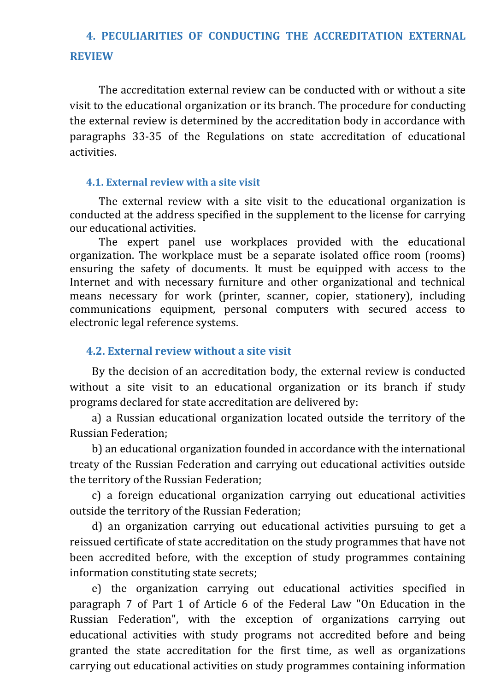# <span id="page-10-0"></span>**4. PECULIARITIES OF CONDUCTING THE ACCREDITATION EXTERNAL REVIEW**

The accreditation external review can be conducted with or without a site visit to the educational organization or its branch. The procedure for conducting the external review is determined by the accreditation body in accordance with paragraphs 33-35 of the Regulations on state accreditation of educational activities.

#### <span id="page-10-1"></span>**4.1. External review with a site visit**

The external review with a site visit to the educational organization is conducted at the address specified in the supplement to the license for carrying our educational activities.

The expert panel use workplaces provided with the educational organization. The workplace must be a separate isolated office room (rooms) ensuring the safety of documents. It must be equipped with access to the Internet and with necessary furniture and other organizational and technical means necessary for work (printer, scanner, copier, stationery), including communications equipment, personal computers with secured access to electronic legal reference systems.

### <span id="page-10-2"></span>**4.2. External review without a site visit**

By the decision of an accreditation body, the external review is conducted without a site visit to an educational organization or its branch if study programs declared for state accreditation are delivered by:

a) a Russian educational organization located outside the territory of the Russian Federation;

b) an educational organization founded in accordance with the international treaty of the Russian Federation and carrying out educational activities outside the territory of the Russian Federation;

c) a foreign educational organization carrying out educational activities outside the territory of the Russian Federation;

d) an organization carrying out educational activities pursuing to get a reissued certificate of state accreditation on the study programmes that have not been accredited before, with the exception of study programmes containing information constituting state secrets;

e) the organization carrying out educational activities specified in paragraph 7 of Part 1 of Article 6 of the Federal Law "On Education in the Russian Federation", with the exception of organizations carrying out educational activities with study programs not accredited before and being granted the state accreditation for the first time, as well as organizations carrying out educational activities on study programmes containing information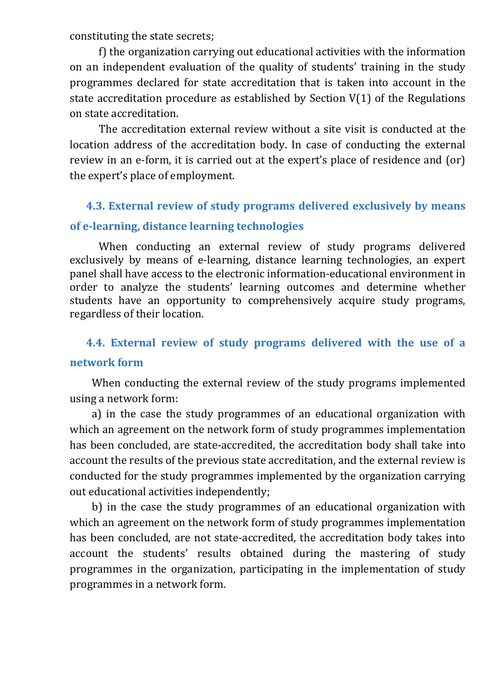constituting the state secrets;

f) the organization carrying out educational activities with the information on an independent evaluation of the quality of students' training in the study programmes declared for state accreditation that is taken into account in the state accreditation procedure as established by Section V(1) of the Regulations on state accreditation.

The accreditation external review without a site visit is conducted at the location address of the accreditation body. In case of conducting the external review in an e-form, it is carried out at the expert's place of residence and (or) the expert's place of employment.

## <span id="page-11-0"></span>**4.3. External review of study programs delivered exclusively by means**

## **of e-learning, distance learning technologies**

When conducting an external review of study programs delivered exclusively by means of e-learning, distance learning technologies, an expert panel shall have access to the electronic information-educational environment in order to analyze the students' learning outcomes and determine whether students have an opportunity to comprehensively acquire study programs, regardless of their location.

# <span id="page-11-1"></span>**4.4. External review of study programs delivered with the use of a network form**

When conducting the external review of the study programs implemented using a network form:

a) in the case the study programmes of an educational organization with which an agreement on the network form of study programmes implementation has been concluded, are state-accredited, the accreditation body shall take into account the results of the previous state accreditation, and the external review is conducted for the study programmes implemented by the organization carrying out educational activities independently;

b) in the case the study programmes of an educational organization with which an agreement on the network form of study programmes implementation has been concluded, are not state-accredited, the accreditation body takes into account the students' results obtained during the mastering of study programmes in the organization, participating in the implementation of study programmes in a network form.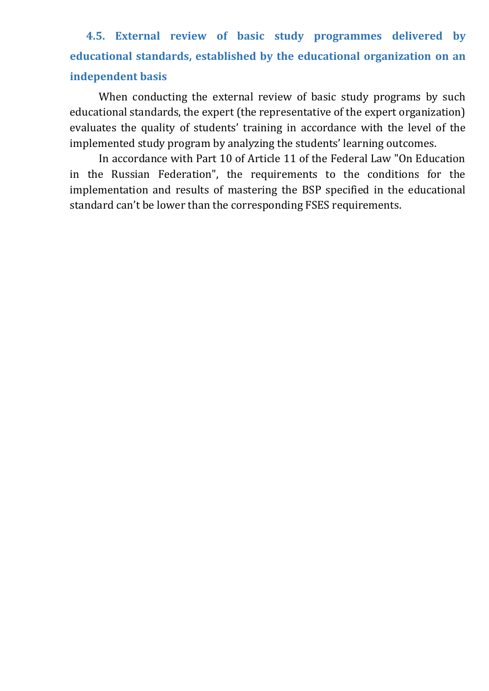<span id="page-12-0"></span>**4.5. External review of basic study programmes delivered by educational standards, established by the educational organization on an independent basis** 

When conducting the external review of basic study programs by such educational standards, the expert (the representative of the expert organization) evaluates the quality of students' training in accordance with the level of the implemented study program by analyzing the students' learning outcomes.

In accordance with Part 10 of Article 11 of the Federal Law "On Education in the Russian Federation", the requirements to the conditions for the implementation and results of mastering the BSP specified in the educational standard can't be lower than the corresponding FSES requirements.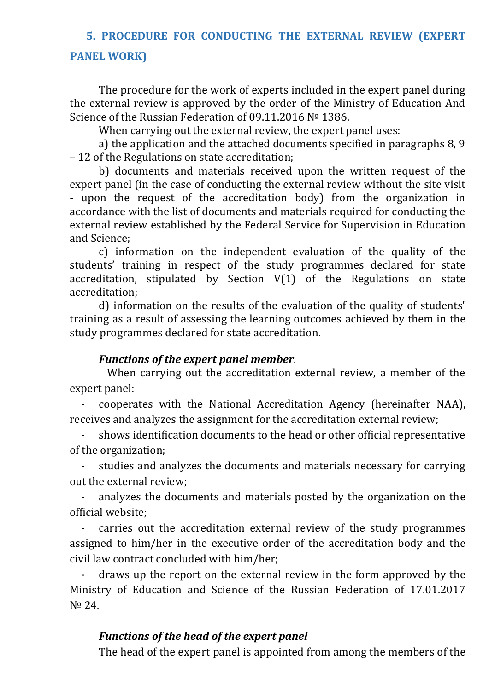# <span id="page-13-0"></span>**5. PROCEDURE FOR CONDUCTING THE EXTERNAL REVIEW (EXPERT PANEL WORK)**

The procedure for the work of experts included in the expert panel during the external review is approved by the order of the Ministry of Education And Science of the Russian Federation of 09.11.2016 № 1386.

When carrying out the external review, the expert panel uses:

a) the application and the attached documents specified in paragraphs 8, 9 – 12 of the Regulations on state accreditation;

b) documents and materials received upon the written request of the expert panel (in the case of conducting the external review without the site visit - upon the request of the accreditation body) from the organization in accordance with the list of documents and materials required for conducting the external review established by the Federal Service for Supervision in Education and Science;

c) information on the independent evaluation of the quality of the students' training in respect of the study programmes declared for state accreditation, stipulated by Section V(1) of the Regulations on state accreditation;

d) information on the results of the evaluation of the quality of students' training as a result of assessing the learning outcomes achieved by them in the study programmes declared for state accreditation.

### *Functions of the expert panel member*.

When carrying out the accreditation external review, a member of the expert panel:

- cooperates with the National Accreditation Agency (hereinafter NAA), receives and analyzes the assignment for the accreditation external review;

- shows identification documents to the head or other official representative of the organization;

studies and analyzes the documents and materials necessary for carrying out the external review;

analyzes the documents and materials posted by the organization on the official website;

- carries out the accreditation external review of the study programmes assigned to him/her in the executive order of the accreditation body and the civil law contract concluded with him/her;

- draws up the report on the external review in the form approved by the Ministry of Education and Science of the Russian Federation of 17.01.2017 N<sup>o</sup> 24.

### *Functions of the head of the expert panel*

The head of the expert panel is appointed from among the members of the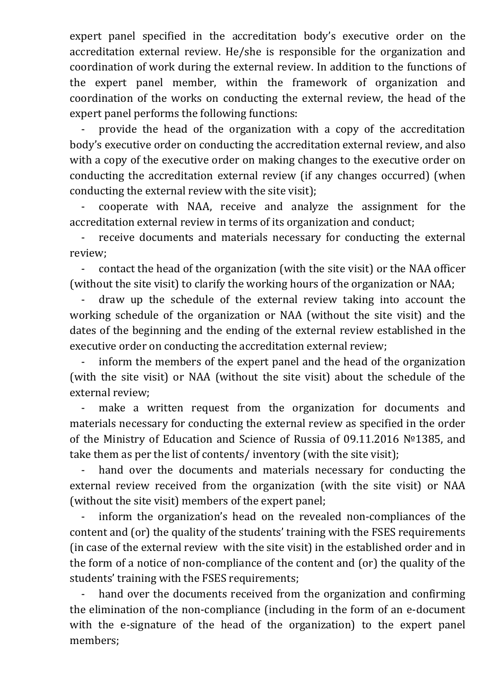expert panel specified in the accreditation body's executive order on the accreditation external review. He/she is responsible for the organization and coordination of work during the external review. In addition to the functions of the expert panel member, within the framework of organization and coordination of the works on conducting the external review, the head of the expert panel performs the following functions:

provide the head of the organization with a copy of the accreditation body's executive order on conducting the accreditation external review, and also with a copy of the executive order on making changes to the executive order on conducting the accreditation external review (if any changes occurred) (when conducting the external review with the site visit);

- cooperate with NAA, receive and analyze the assignment for the accreditation external review in terms of its organization and conduct;

- receive documents and materials necessary for conducting the external review;

- contact the head of the organization (with the site visit) or the NAA officer (without the site visit) to clarify the working hours of the organization or NAA;

draw up the schedule of the external review taking into account the working schedule of the organization or NAA (without the site visit) and the dates of the beginning and the ending of the external review established in the executive order on conducting the accreditation external review;

- inform the members of the expert panel and the head of the organization (with the site visit) or NAA (without the site visit) about the schedule of the external review;

make a written request from the organization for documents and materials necessary for conducting the external review as specified in the order of the Ministry of Education and Science of Russia of 09.11.2016 №1385, and take them as per the list of contents/ inventory (with the site visit);

- hand over the documents and materials necessary for conducting the external review received from the organization (with the site visit) or NAA (without the site visit) members of the expert panel;

inform the organization's head on the revealed non-compliances of the content and (or) the quality of the students' training with the FSES requirements (in case of the external review with the site visit) in the established order and in the form of a notice of non-compliance of the content and (or) the quality of the students' training with the FSES requirements;

hand over the documents received from the organization and confirming the elimination of the non-compliance (including in the form of an e-document with the e-signature of the head of the organization) to the expert panel members;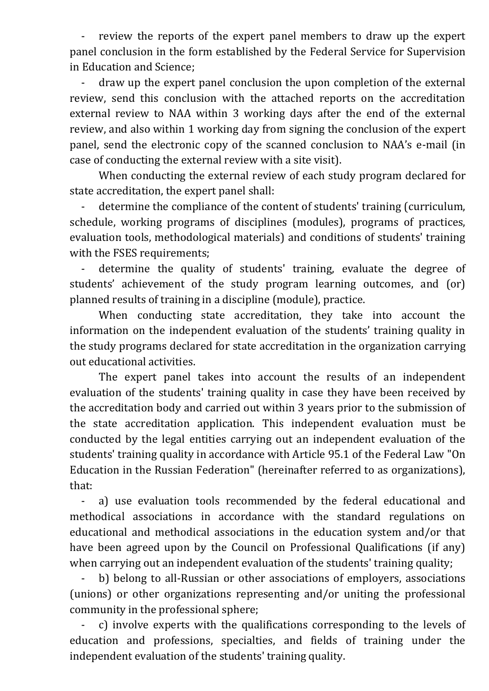review the reports of the expert panel members to draw up the expert panel conclusion in the form established by the Federal Service for Supervision in Education and Science;

- draw up the expert panel conclusion the upon completion of the external review, send this conclusion with the attached reports on the accreditation external review to NAA within 3 working days after the end of the external review, and also within 1 working day from signing the conclusion of the expert panel, send the electronic copy of the scanned conclusion to NAA's e-mail (in case of conducting the external review with a site visit).

When conducting the external review of each study program declared for state accreditation, the expert panel shall:

determine the compliance of the content of students' training (curriculum, schedule, working programs of disciplines (modules), programs of practices, evaluation tools, methodological materials) and conditions of students' training with the FSES requirements;

- determine the quality of students' training, evaluate the degree of students' achievement of the study program learning outcomes, and (or) planned results of training in a discipline (module), practice.

When conducting state accreditation, they take into account the information on the independent evaluation of the students' training quality in the study programs declared for state accreditation in the organization carrying out educational activities.

The expert panel takes into account the results of an independent evaluation of the students' training quality in case they have been received by the accreditation body and carried out within 3 years prior to the submission of the state accreditation application. This independent evaluation must be conducted by the legal entities carrying out an independent evaluation of the students' training quality in accordance with Article 95.1 of the Federal Law "On Education in the Russian Federation" (hereinafter referred to as organizations), that:

a) use evaluation tools recommended by the federal educational and methodical associations in accordance with the standard regulations on educational and methodical associations in the education system and/or that have been agreed upon by the Council on Professional Qualifications (if any) when carrying out an independent evaluation of the students' training quality;

- b) belong to all-Russian or other associations of employers, associations (unions) or other organizations representing and/or uniting the professional community in the professional sphere;

c) involve experts with the qualifications corresponding to the levels of education and professions, specialties, and fields of training under the independent evaluation of the students' training quality.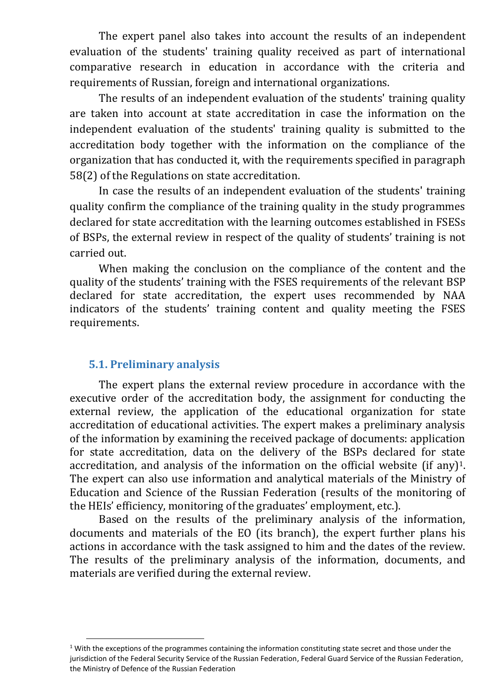The expert panel also takes into account the results of an independent evaluation of the students' training quality received as part of international comparative research in education in accordance with the criteria and requirements of Russian, foreign and international organizations.

The results of an independent evaluation of the students' training quality are taken into account at state accreditation in case the information on the independent evaluation of the students' training quality is submitted to the accreditation body together with the information on the compliance of the organization that has conducted it, with the requirements specified in paragraph 58(2) of the Regulations on state accreditation.

In case the results of an independent evaluation of the students' training quality confirm the compliance of the training quality in the study programmes declared for state accreditation with the learning outcomes established in FSESs of BSPs, the external review in respect of the quality of students' training is not carried out.

When making the conclusion on the compliance of the content and the quality of the students' training with the FSES requirements of the relevant BSP declared for state accreditation, the expert uses recommended by NAA indicators of the students' training content and quality meeting the FSES requirements.

### <span id="page-16-0"></span>**5.1. Preliminary analysis**

 $\overline{a}$ 

The expert plans the external review procedure in accordance with the executive order of the accreditation body, the assignment for conducting the external review, the application of the educational organization for state accreditation of educational activities. The expert makes a preliminary analysis of the information by examining the received package of documents: application for state accreditation, data on the delivery of the BSPs declared for state accreditation, and analysis of the information on the official website (if any)<sup>1</sup>. The expert can also use information and analytical materials of the Ministry of Education and Science of the Russian Federation (results of the monitoring of the HEIs' efficiency, monitoring of the graduates' employment, etc.).

Based on the results of the preliminary analysis of the information, documents and materials of the EO (its branch), the expert further plans his actions in accordance with the task assigned to him and the dates of the review. The results of the preliminary analysis of the information, documents, and materials are verified during the external review.

 $1$  With the exceptions of the programmes containing the information constituting state secret and those under the jurisdiction of the Federal Security Service of the Russian Federation, Federal Guard Service of the Russian Federation, the Ministry of Defence of the Russian Federation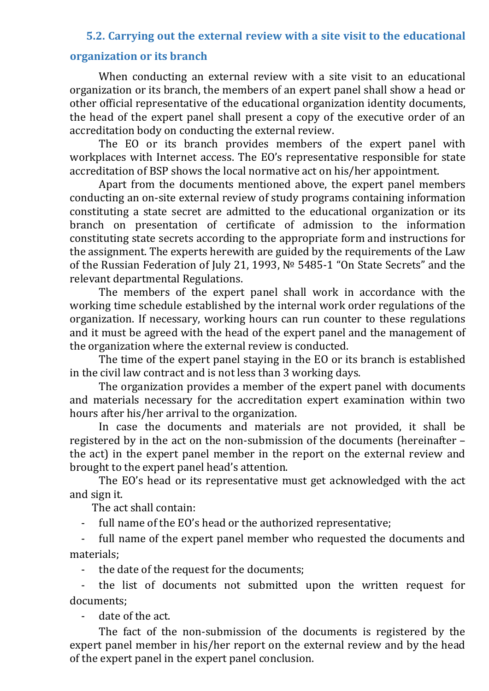### <span id="page-17-0"></span>**5.2. Carrying out the external review with a site visit to the educational**

#### **organization or its branch**

When conducting an external review with a site visit to an educational organization or its branch, the members of an expert panel shall show a head or other official representative of the educational organization identity documents, the head of the expert panel shall present a copy of the executive order of an accreditation body on conducting the external review.

The EO or its branch provides members of the expert panel with workplaces with Internet access. The EO's representative responsible for state accreditation of BSP shows the local normative act on his/her appointment.

Apart from the documents mentioned above, the expert panel members conducting an on-site external review of study programs containing information constituting a state secret are admitted to the educational organization or its branch on presentation of certificate of admission to the information constituting state secrets according to the appropriate form and instructions for the assignment. The experts herewith are guided by the requirements of the Law of the Russian Federation of July 21, 1993, № 5485-1 "On State Secrets" and the relevant departmental Regulations.

The members of the expert panel shall work in accordance with the working time schedule established by the internal work order regulations of the organization. If necessary, working hours can run counter to these regulations and it must be agreed with the head of the expert panel and the management of the organization where the external review is conducted.

The time of the expert panel staying in the EO or its branch is established in the civil law contract and is not less than 3 working days.

The organization provides a member of the expert panel with documents and materials necessary for the accreditation expert examination within two hours after his/her arrival to the organization.

In case the documents and materials are not provided, it shall be registered by in the act on the non-submission of the documents (hereinafter – the act) in the expert panel member in the report on the external review and brought to the expert panel head's attention.

The EO's head or its representative must get acknowledged with the act and sign it.

The act shall contain:

full name of the EO's head or the authorized representative;

- full name of the expert panel member who requested the documents and materials;

- the date of the request for the documents;

- the list of documents not submitted upon the written request for documents;

date of the act.

The fact of the non-submission of the documents is registered by the expert panel member in his/her report on the external review and by the head of the expert panel in the expert panel conclusion.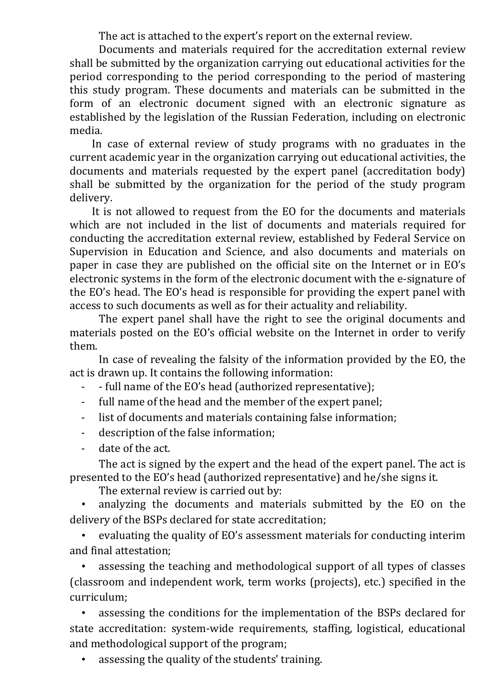The act is attached to the expert's report on the external review.

Documents and materials required for the accreditation external review shall be submitted by the organization carrying out educational activities for the period corresponding to the period corresponding to the period of mastering this study program. These documents and materials can be submitted in the form of an electronic document signed with an electronic signature as established by the legislation of the Russian Federation, including on electronic media.

In case of external review of study programs with no graduates in the current academic year in the organization carrying out educational activities, the documents and materials requested by the expert panel (accreditation body) shall be submitted by the organization for the period of the study program delivery.

It is not allowed to request from the EO for the documents and materials which are not included in the list of documents and materials required for conducting the accreditation external review, established by Federal Service on Supervision in Education and Science, and also documents and materials on paper in case they are published on the official site on the Internet or in EO's electronic systems in the form of the electronic document with the e-signature of the EO's head. The EO's head is responsible for providing the expert panel with access to such documents as well as for their actuality and reliability.

The expert panel shall have the right to see the original documents and materials posted on the EO's official website on the Internet in order to verify them.

In case of revealing the falsity of the information provided by the EO, the act is drawn up. It contains the following information:

- full name of the EO's head (authorized representative);
- full name of the head and the member of the expert panel;
- list of documents and materials containing false information;
- description of the false information;
- date of the act.

The act is signed by the expert and the head of the expert panel. The act is presented to the EO's head (authorized representative) and he/she signs it.

The external review is carried out by:

• analyzing the documents and materials submitted by the EO on the delivery of the BSPs declared for state accreditation;

• evaluating the quality of EO's assessment materials for conducting interim and final attestation;

assessing the teaching and methodological support of all types of classes (classroom and independent work, term works (projects), etc.) specified in the curriculum;

assessing the conditions for the implementation of the BSPs declared for state accreditation: system-wide requirements, staffing, logistical, educational and methodological support of the program;

• assessing the quality of the students' training.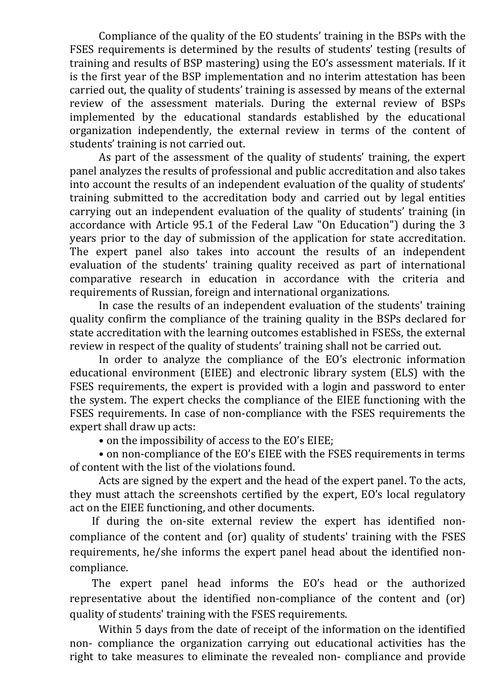Compliance of the quality of the EO students' training in the BSPs with the FSES requirements is determined by the results of students' testing (results of training and results of BSP mastering) using the EO's assessment materials. If it is the first year of the BSP implementation and no interim attestation has been carried out, the quality of students' training is assessed by means of the external review of the assessment materials. During the external review of BSPs implemented by the educational standards established by the educational organization independently, the external review in terms of the content of students' training is not carried out.

As part of the assessment of the quality of students' training, the expert panel analyzes the results of professional and public accreditation and also takes into account the results of an independent evaluation of the quality of students' training submitted to the accreditation body and carried out by legal entities carrying out an independent evaluation of the quality of students' training (in accordance with Article 95.1 of the Federal Law "On Education") during the 3 years prior to the day of submission of the application for state accreditation. The expert panel also takes into account the results of an independent evaluation of the students' training quality received as part of international comparative research in education in accordance with the criteria and requirements of Russian, foreign and international organizations.

In case the results of an independent evaluation of the students' training quality confirm the compliance of the training quality in the BSPs declared for state accreditation with the learning outcomes established in FSESs, the external review in respect of the quality of students' training shall not be carried out.

In order to analyze the compliance of the EO's electronic information educational environment (EIEE) and electronic library system (ELS) with the FSES requirements, the expert is provided with a login and password to enter the system. The expert checks the compliance of the EIEE functioning with the FSES requirements. In case of non-compliance with the FSES requirements the expert shall draw up acts:

• on the impossibility of access to the EO's EIEE;

• on non-compliance of the EO's EIEE with the FSES requirements in terms of content with the list of the violations found.

Acts are signed by the expert and the head of the expert panel. To the acts, they must attach the screenshots certified by the expert, EO's local regulatory act on the EIEE functioning, and other documents.

If during the on-site external review the expert has identified noncompliance of the content and (or) quality of students' training with the FSES requirements, he/she informs the expert panel head about the identified noncompliance.

The expert panel head informs the EO's head or the authorized representative about the identified non-compliance of the content and (or) quality of students' training with the FSES requirements.

Within 5 days from the date of receipt of the information on the identified non- compliance the organization carrying out educational activities has the right to take measures to eliminate the revealed non- compliance and provide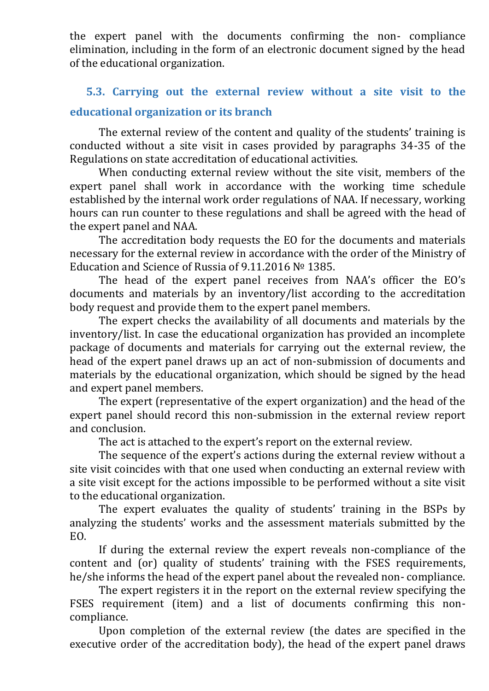the expert panel with the documents confirming the non- compliance elimination, including in the form of an electronic document signed by the head of the educational organization.

# <span id="page-20-0"></span>**5.3. Carrying out the external review without a site visit to the educational organization or its branch**

The external review of the content and quality of the students' training is conducted without a site visit in cases provided by paragraphs 34-35 of the Regulations on state accreditation of educational activities.

When conducting external review without the site visit, members of the expert panel shall work in accordance with the working time schedule established by the internal work order regulations of NAA. If necessary, working hours can run counter to these regulations and shall be agreed with the head of the expert panel and NAA.

The accreditation body requests the EO for the documents and materials necessary for the external review in accordance with the order of the Ministry of Education and Science of Russia of 9.11.2016 № 1385.

The head of the expert panel receives from NAA's officer the EO's documents and materials by an inventory/list according to the accreditation body request and provide them to the expert panel members.

The expert checks the availability of all documents and materials by the inventory/list. In case the educational organization has provided an incomplete package of documents and materials for carrying out the external review, the head of the expert panel draws up an act of non-submission of documents and materials by the educational organization, which should be signed by the head and expert panel members.

The expert (representative of the expert organization) and the head of the expert panel should record this non-submission in the external review report and conclusion.

The act is attached to the expert's report on the external review.

The sequence of the expert's actions during the external review without a site visit coincides with that one used when conducting an external review with a site visit except for the actions impossible to be performed without a site visit to the educational organization.

The expert evaluates the quality of students' training in the BSPs by analyzing the students' works and the assessment materials submitted by the EO.

If during the external review the expert reveals non-compliance of the content and (or) quality of students' training with the FSES requirements, he/she informs the head of the expert panel about the revealed non- compliance.

The expert registers it in the report on the external review specifying the FSES requirement (item) and a list of documents confirming this noncompliance.

Upon completion of the external review (the dates are specified in the executive order of the accreditation body), the head of the expert panel draws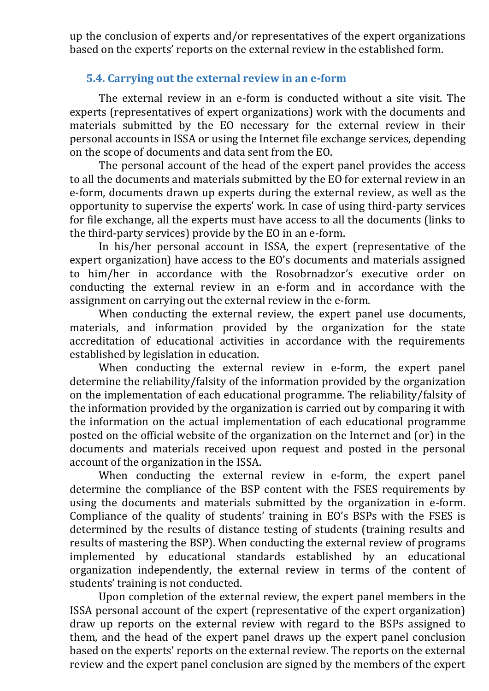up the conclusion of experts and/or representatives of the expert organizations based on the experts' reports on the external review in the established form.

## <span id="page-21-0"></span>**5.4. Carrying out the external review in an e-form**

The external review in an e-form is conducted without a site visit. The experts (representatives of expert organizations) work with the documents and materials submitted by the EO necessary for the external review in their personal accounts in ISSA or using the Internet file exchange services, depending on the scope of documents and data sent from the EO.

The personal account of the head of the expert panel provides the access to all the documents and materials submitted by the EO for external review in an e-form, documents drawn up experts during the external review, as well as the opportunity to supervise the experts' work. In case of using third-party services for file exchange, all the experts must have access to all the documents (links to the third-party services) provide by the EO in an e-form.

In his/her personal account in ISSA, the expert (representative of the expert organization) have access to the EO's documents and materials assigned to him/her in accordance with the Rosobrnadzor's executive order on conducting the external review in an e-form and in accordance with the assignment on carrying out the external review in the e-form.

When conducting the external review, the expert panel use documents, materials, and information provided by the organization for the state accreditation of educational activities in accordance with the requirements established by legislation in education.

When conducting the external review in e-form, the expert panel determine the reliability/falsity of the information provided by the organization on the implementation of each educational programme. The reliability/falsity of the information provided by the organization is carried out by comparing it with the information on the actual implementation of each educational programme posted on the official website of the organization on the Internet and (or) in the documents and materials received upon request and posted in the personal account of the organization in the ISSA.

When conducting the external review in e-form, the expert panel determine the compliance of the BSP content with the FSES requirements by using the documents and materials submitted by the organization in e-form. Compliance of the quality of students' training in EO's BSPs with the FSES is determined by the results of distance testing of students (training results and results of mastering the BSP). When conducting the external review of programs implemented by educational standards established by an educational organization independently, the external review in terms of the content of students' training is not conducted.

Upon completion of the external review, the expert panel members in the ISSA personal account of the expert (representative of the expert organization) draw up reports on the external review with regard to the BSPs assigned to them, and the head of the expert panel draws up the expert panel conclusion based on the experts' reports on the external review. The reports on the external review and the expert panel conclusion are signed by the members of the expert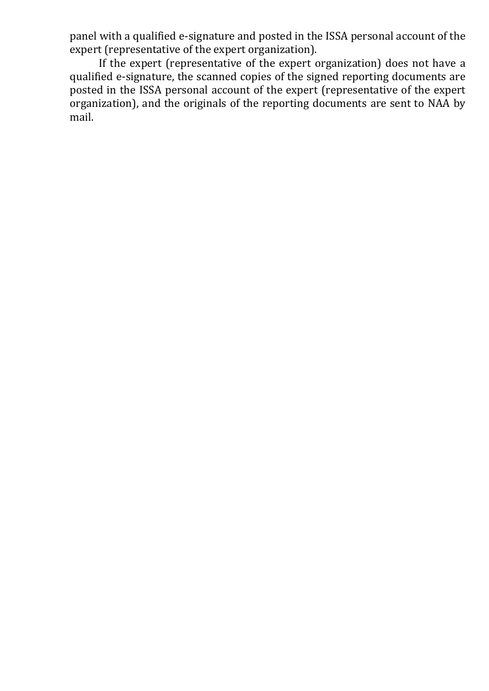panel with a qualified e-signature and posted in the ISSA personal account of the expert (representative of the expert organization).

If the expert (representative of the expert organization) does not have a qualified e-signature, the scanned copies of the signed reporting documents are posted in the ISSA personal account of the expert (representative of the expert organization), and the originals of the reporting documents are sent to NAA by mail.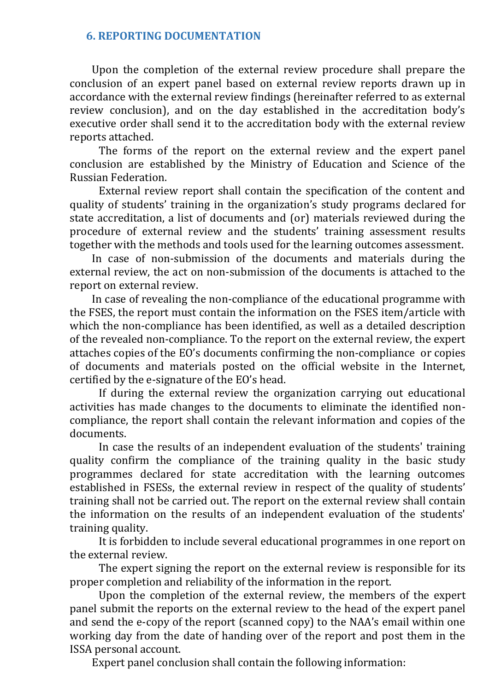### <span id="page-23-0"></span>**6. REPORTING DOCUMENTATION**

Upon the completion of the external review procedure shall prepare the conclusion of an expert panel based on external review reports drawn up in accordance with the external review findings (hereinafter referred to as external review conclusion), and on the day established in the accreditation body's executive order shall send it to the accreditation body with the external review reports attached.

The forms of the report on the external review and the expert panel conclusion are established by the Ministry of Education and Science of the Russian Federation.

External review report shall contain the specification of the content and quality of students' training in the organization's study programs declared for state accreditation, a list of documents and (or) materials reviewed during the procedure of external review and the students' training assessment results together with the methods and tools used for the learning outcomes assessment.

In case of non-submission of the documents and materials during the external review, the act on non-submission of the documents is attached to the report on external review.

In case of revealing the non-compliance of the educational programme with the FSES, the report must contain the information on the FSES item/article with which the non-compliance has been identified, as well as a detailed description of the revealed non-compliance. To the report on the external review, the expert attaches copies of the EO's documents confirming the non-compliance or copies of documents and materials posted on the official website in the Internet, certified by the e-signature of the EO's head.

If during the external review the organization carrying out educational activities has made changes to the documents to eliminate the identified noncompliance, the report shall contain the relevant information and copies of the documents.

In case the results of an independent evaluation of the students' training quality confirm the compliance of the training quality in the basic study programmes declared for state accreditation with the learning outcomes established in FSESs, the external review in respect of the quality of students' training shall not be carried out. The report on the external review shall contain the information on the results of an independent evaluation of the students' training quality.

It is forbidden to include several educational programmes in one report on the external review.

The expert signing the report on the external review is responsible for its proper completion and reliability of the information in the report.

Upon the completion of the external review, the members of the expert panel submit the reports on the external review to the head of the expert panel and send the e-copy of the report (scanned copy) to the NAA's email within one working day from the date of handing over of the report and post them in the ISSA personal account.

Expert panel conclusion shall contain the following information: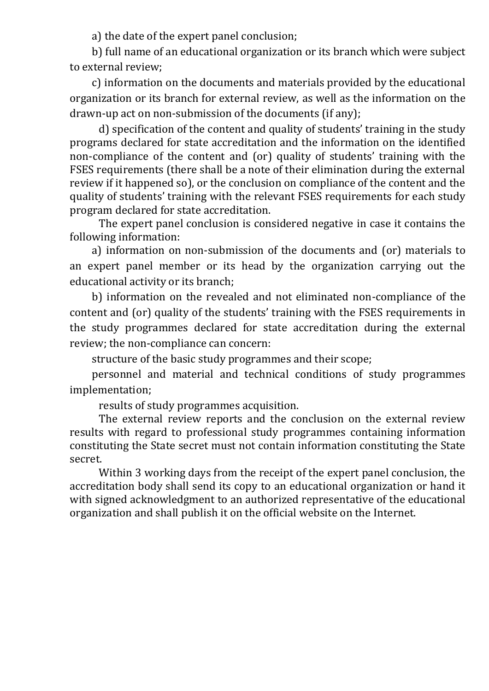a) the date of the expert panel conclusion;

b) full name of an educational organization or its branch which were subject to external review;

c) information on the documents and materials provided by the educational organization or its branch for external review, as well as the information on the drawn-up act on non-submission of the documents (if any);

d) specification of the content and quality of students' training in the study programs declared for state accreditation and the information on the identified non-compliance of the content and (or) quality of students' training with the FSES requirements (there shall be a note of their elimination during the external review if it happened so), or the conclusion on compliance of the content and the quality of students' training with the relevant FSES requirements for each study program declared for state accreditation.

The expert panel conclusion is considered negative in case it contains the following information:

a) information on non-submission of the documents and (or) materials to an expert panel member or its head by the organization carrying out the educational activity or its branch;

b) information on the revealed and not eliminated non-compliance of the content and (or) quality of the students' training with the FSES requirements in the study programmes declared for state accreditation during the external review; the non-compliance can concern:

structure of the basic study programmes and their scope;

personnel and material and technical conditions of study programmes implementation;

results of study programmes acquisition.

The external review reports and the conclusion on the external review results with regard to professional study programmes containing information constituting the State secret must not contain information constituting the State secret.

Within 3 working days from the receipt of the expert panel conclusion, the accreditation body shall send its copy to an educational organization or hand it with signed acknowledgment to an authorized representative of the educational organization and shall publish it on the official website on the Internet.